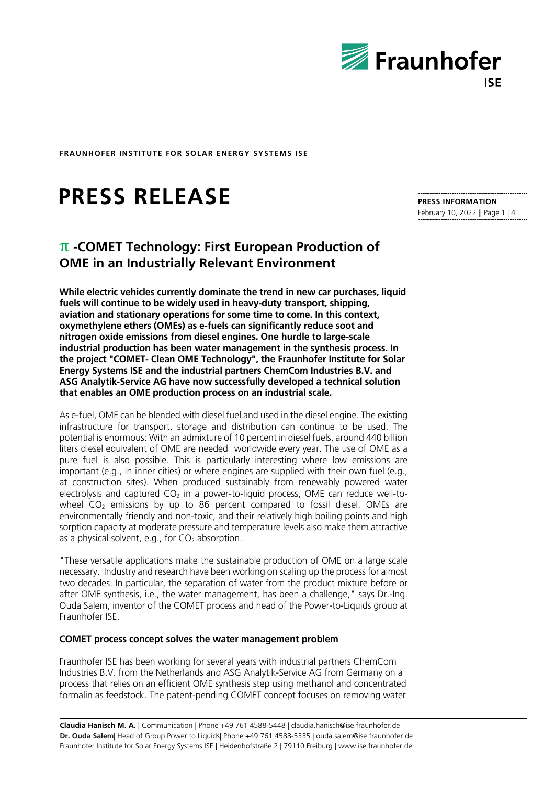

# **PRESS RELEASE**

## π **-COMET Technology: First European Production of OME in an Industrially Relevant Environment**

**While electric vehicles currently dominate the trend in new car purchases, liquid fuels will continue to be widely used in heavy-duty transport, shipping, aviation and stationary operations for some time to come. In this context, oxymethylene ethers (OMEs) as e-fuels can significantly reduce soot and nitrogen oxide emissions from diesel engines. One hurdle to large-scale industrial production has been water management in the synthesis process. In the project "COMET- Clean OME Technology", the Fraunhofer Institute for Solar Energy Systems ISE and the industrial partners ChemCom Industries B.V. and ASG Analytik-Service AG have now successfully developed a technical solution that enables an OME production process on an industrial scale.** 

As e-fuel, OME can be blended with diesel fuel and used in the diesel engine. The existing infrastructure for transport, storage and distribution can continue to be used. The potential is enormous: With an admixture of 10 percent in diesel fuels, around 440 billion liters diesel equivalent of OME are needed worldwide every year. The use of OME as a pure fuel is also possible. This is particularly interesting where low emissions are important (e.g., in inner cities) or where engines are supplied with their own fuel (e.g., at construction sites). When produced sustainably from renewably powered water electrolysis and captured  $CO<sub>2</sub>$  in a power-to-liquid process, OME can reduce well-towheel  $CO<sub>2</sub>$  emissions by up to 86 percent compared to fossil diesel. OMEs are environmentally friendly and non-toxic, and their relatively high boiling points and high sorption capacity at moderate pressure and temperature levels also make them attractive as a physical solvent, e.g., for  $CO<sub>2</sub>$  absorption.

"These versatile applications make the sustainable production of OME on a large scale necessary. Industry and research have been working on scaling up the process for almost two decades. In particular, the separation of water from the product mixture before or after OME synthesis, i.e., the water management, has been a challenge," says Dr.-Ing. Ouda Salem, inventor of the COMET process and head of the Power-to-Liquids group at Fraunhofer ISE.

### **COMET process concept solves the water management problem**

Fraunhofer ISE has been working for several years with industrial partners ChemCom Industries B.V. from the Netherlands and ASG Analytik-Service AG from Germany on a process that relies on an efficient OME synthesis step using methanol and concentrated formalin as feedstock. The patent-pending COMET concept focuses on removing water

**Claudia Hanisch M. A.** | Communication | Phone +49 761 4588-5448 | claudia.hanisch@ise.fraunhofer.de **Dr. Ouda Salem|** Head of Group Power to Liquids| Phone +49 761 4588-5335 | ouda.salem@ise.fraunhofer.de Fraunhofer Institute for Solar Energy Systems ISE | Heidenhofstraße 2 | 79110 Freiburg | www.ise.fraunhofer.de

**PRESS INFORMATION** February 10, 2022 || Page 1 | 4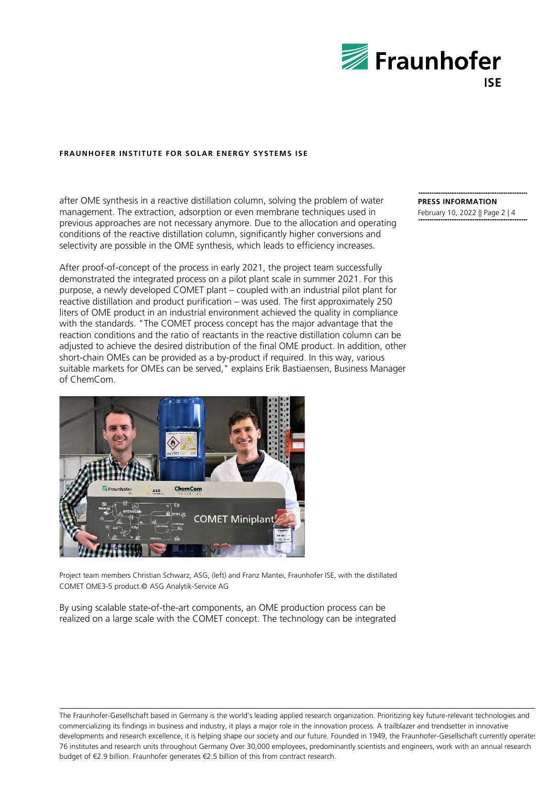

after OME synthesis in a reactive distillation column, solving the problem of water management. The extraction, adsorption or even membrane techniques used in previous approaches are not necessary anymore. Due to the allocation and operating conditions of the reactive distillation column, significantly higher conversions and selectivity are possible in the OME synthesis, which leads to efficiency increases.

After proof-of-concept of the process in early 2021, the project team successfully demonstrated the integrated process on a pilot plant scale in summer 2021. For this purpose, a newly developed COMET plant – coupled with an industrial pilot plant for reactive distillation and product purification – was used. The first approximately 250 liters of OME product in an industrial environment achieved the quality in compliance with the standards. "The COMET process concept has the major advantage that the reaction conditions and the ratio of reactants in the reactive distillation column can be adjusted to achieve the desired distribution of the final OME product. In addition, other short-chain OMEs can be provided as a by-product if required. In this way, various suitable markets for OMEs can be served," explains Erik Bastiaensen, Business Manager of ChemCom.



Project team members Christian Schwarz, ASG, (left) and Franz Mantei, Fraunhofer ISE, with the distillated COMET OME3-5 product.© ASG Analytik-Service AG

By using scalable state-of-the-art components, an OME production process can be realized on a large scale with the COMET concept. The technology can be integrated **PRESS INFORMATION**

February 10, 2022 || Page 2 | 4

The Fraunhofer-Gesellschaft based in Germany is the world's leading applied research organization. Prioritizing key future-relevant technologies and commercializing its findings in business and industry, it plays a major role in the innovation process. A trailblazer and trendsetter in innovative developments and research excellence, it is helping shape our society and our future. Founded in 1949, the Fraunhofer-Gesellschaft currently operates 76 institutes and research units throughout Germany Over 30,000 employees, predominantly scientists and engineers, work with an annual research budget of €2.9 billion. Fraunhofer generates €2.5 billion of this from contract research.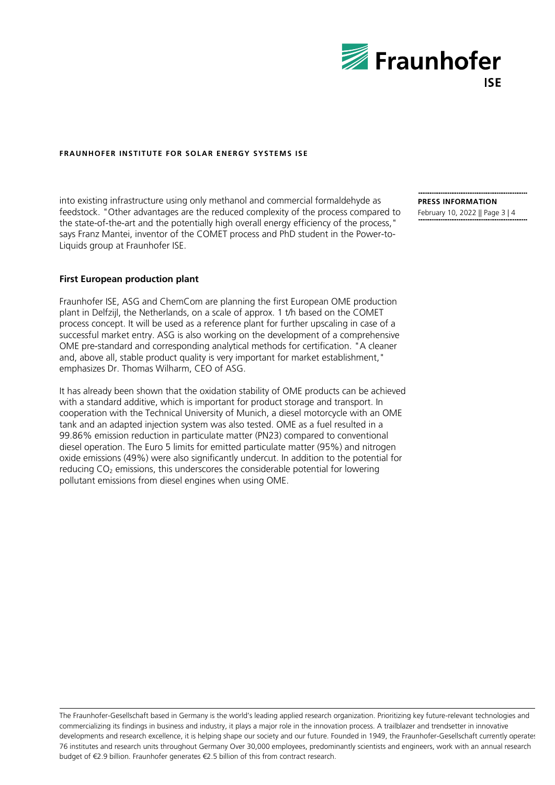

into existing infrastructure using only methanol and commercial formaldehyde as feedstock. "Other advantages are the reduced complexity of the process compared to the state-of-the-art and the potentially high overall energy efficiency of the process," says Franz Mantei, inventor of the COMET process and PhD student in the Power-to-Liquids group at Fraunhofer ISE.

#### **PRESS INFORMATION**

February 10, 2022 || Page 3 | 4

#### **First European production plant**

Fraunhofer ISE, ASG and ChemCom are planning the first European OME production plant in Delfzijl, the Netherlands, on a scale of approx. 1 t/h based on the COMET process concept. It will be used as a reference plant for further upscaling in case of a successful market entry. ASG is also working on the development of a comprehensive OME pre-standard and corresponding analytical methods for certification. "A cleaner and, above all, stable product quality is very important for market establishment," emphasizes Dr. Thomas Wilharm, CEO of ASG.

It has already been shown that the oxidation stability of OME products can be achieved with a standard additive, which is important for product storage and transport. In cooperation with the Technical University of Munich, a diesel motorcycle with an OME tank and an adapted injection system was also tested. OME as a fuel resulted in a 99.86% emission reduction in particulate matter (PN23) compared to conventional diesel operation. The Euro 5 limits for emitted particulate matter (95%) and nitrogen oxide emissions (49%) were also significantly undercut. In addition to the potential for reducing CO<sub>2</sub> emissions, this underscores the considerable potential for lowering pollutant emissions from diesel engines when using OME.

The Fraunhofer-Gesellschaft based in Germany is the world's leading applied research organization. Prioritizing key future-relevant technologies and commercializing its findings in business and industry, it plays a major role in the innovation process. A trailblazer and trendsetter in innovative developments and research excellence, it is helping shape our society and our future. Founded in 1949, the Fraunhofer-Gesellschaft currently operates 76 institutes and research units throughout Germany Over 30,000 employees, predominantly scientists and engineers, work with an annual research budget of €2.9 billion. Fraunhofer generates €2.5 billion of this from contract research.